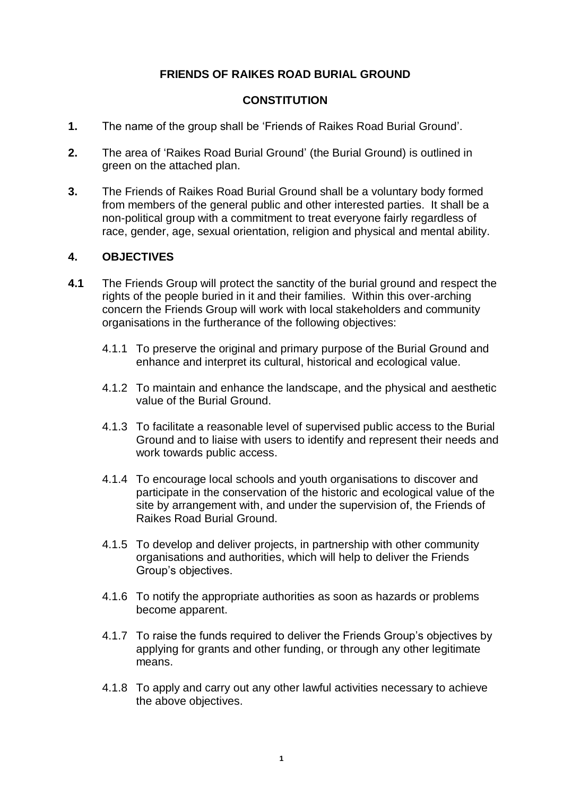# **FRIENDS OF RAIKES ROAD BURIAL GROUND**

### **CONSTITUTION**

- **1.** The name of the group shall be 'Friends of Raikes Road Burial Ground'.
- **2.** The area of 'Raikes Road Burial Ground' (the Burial Ground) is outlined in green on the attached plan.
- **3.** The Friends of Raikes Road Burial Ground shall be a voluntary body formed from members of the general public and other interested parties. It shall be a non-political group with a commitment to treat everyone fairly regardless of race, gender, age, sexual orientation, religion and physical and mental ability.

#### **4. OBJECTIVES**

- **4.1** The Friends Group will protect the sanctity of the burial ground and respect the rights of the people buried in it and their families. Within this over-arching concern the Friends Group will work with local stakeholders and community organisations in the furtherance of the following objectives:
	- 4.1.1 To preserve the original and primary purpose of the Burial Ground and enhance and interpret its cultural, historical and ecological value.
	- 4.1.2 To maintain and enhance the landscape, and the physical and aesthetic value of the Burial Ground.
	- 4.1.3 To facilitate a reasonable level of supervised public access to the Burial Ground and to liaise with users to identify and represent their needs and work towards public access.
	- 4.1.4 To encourage local schools and youth organisations to discover and participate in the conservation of the historic and ecological value of the site by arrangement with, and under the supervision of, the Friends of Raikes Road Burial Ground.
	- 4.1.5 To develop and deliver projects, in partnership with other community organisations and authorities, which will help to deliver the Friends Group's objectives.
	- 4.1.6 To notify the appropriate authorities as soon as hazards or problems become apparent.
	- 4.1.7 To raise the funds required to deliver the Friends Group's objectives by applying for grants and other funding, or through any other legitimate means.
	- 4.1.8 To apply and carry out any other lawful activities necessary to achieve the above objectives.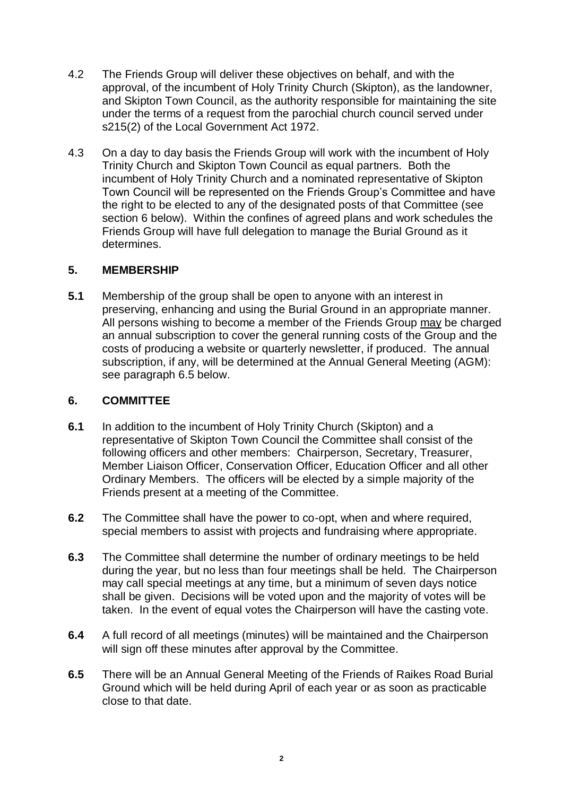- 4.2 The Friends Group will deliver these objectives on behalf, and with the approval, of the incumbent of Holy Trinity Church (Skipton), as the landowner, and Skipton Town Council, as the authority responsible for maintaining the site under the terms of a request from the parochial church council served under s215(2) of the Local Government Act 1972.
- 4.3 On a day to day basis the Friends Group will work with the incumbent of Holy Trinity Church and Skipton Town Council as equal partners. Both the incumbent of Holy Trinity Church and a nominated representative of Skipton Town Council will be represented on the Friends Group's Committee and have the right to be elected to any of the designated posts of that Committee (see section 6 below). Within the confines of agreed plans and work schedules the Friends Group will have full delegation to manage the Burial Ground as it determines.

### **5. MEMBERSHIP**

**5.1** Membership of the group shall be open to anyone with an interest in preserving, enhancing and using the Burial Ground in an appropriate manner. All persons wishing to become a member of the Friends Group may be charged an annual subscription to cover the general running costs of the Group and the costs of producing a website or quarterly newsletter, if produced. The annual subscription, if any, will be determined at the Annual General Meeting (AGM): see paragraph 6.5 below.

## **6. COMMITTEE**

- **6.1** In addition to the incumbent of Holy Trinity Church (Skipton) and a representative of Skipton Town Council the Committee shall consist of the following officers and other members: Chairperson, Secretary, Treasurer, Member Liaison Officer, Conservation Officer, Education Officer and all other Ordinary Members. The officers will be elected by a simple majority of the Friends present at a meeting of the Committee.
- **6.2** The Committee shall have the power to co-opt, when and where required, special members to assist with projects and fundraising where appropriate.
- **6.3** The Committee shall determine the number of ordinary meetings to be held during the year, but no less than four meetings shall be held. The Chairperson may call special meetings at any time, but a minimum of seven days notice shall be given. Decisions will be voted upon and the majority of votes will be taken. In the event of equal votes the Chairperson will have the casting vote.
- **6.4** A full record of all meetings (minutes) will be maintained and the Chairperson will sign off these minutes after approval by the Committee.
- **6.5** There will be an Annual General Meeting of the Friends of Raikes Road Burial Ground which will be held during April of each year or as soon as practicable close to that date.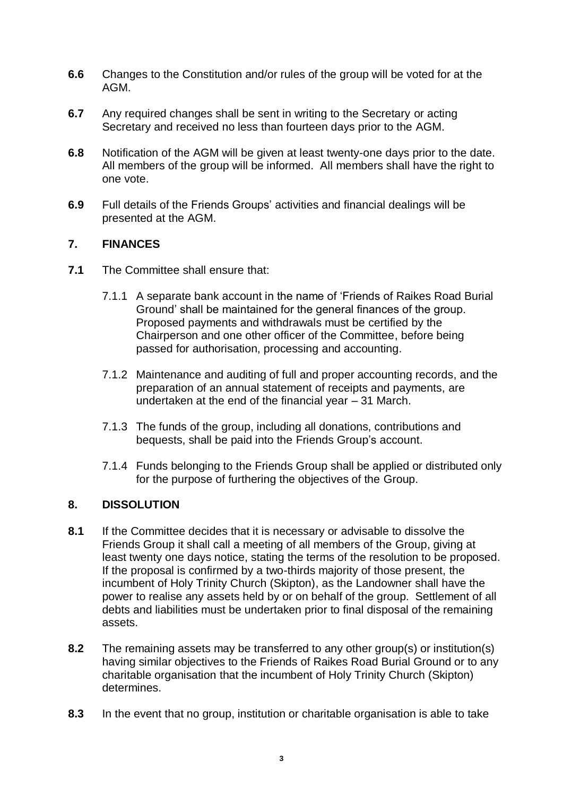- **6.6** Changes to the Constitution and/or rules of the group will be voted for at the AGM.
- **6.7** Any required changes shall be sent in writing to the Secretary or acting Secretary and received no less than fourteen days prior to the AGM.
- **6.8** Notification of the AGM will be given at least twenty-one days prior to the date. All members of the group will be informed. All members shall have the right to one vote.
- **6.9** Full details of the Friends Groups' activities and financial dealings will be presented at the AGM.

# **7. FINANCES**

- **7.1** The Committee shall ensure that:
	- 7.1.1 A separate bank account in the name of 'Friends of Raikes Road Burial Ground' shall be maintained for the general finances of the group. Proposed payments and withdrawals must be certified by the Chairperson and one other officer of the Committee, before being passed for authorisation, processing and accounting.
	- 7.1.2 Maintenance and auditing of full and proper accounting records, and the preparation of an annual statement of receipts and payments, are undertaken at the end of the financial year – 31 March.
	- 7.1.3 The funds of the group, including all donations, contributions and bequests, shall be paid into the Friends Group's account.
	- 7.1.4 Funds belonging to the Friends Group shall be applied or distributed only for the purpose of furthering the objectives of the Group.

#### **8. DISSOLUTION**

- **8.1** If the Committee decides that it is necessary or advisable to dissolve the Friends Group it shall call a meeting of all members of the Group, giving at least twenty one days notice, stating the terms of the resolution to be proposed. If the proposal is confirmed by a two-thirds majority of those present, the incumbent of Holy Trinity Church (Skipton), as the Landowner shall have the power to realise any assets held by or on behalf of the group. Settlement of all debts and liabilities must be undertaken prior to final disposal of the remaining assets.
- **8.2** The remaining assets may be transferred to any other group(s) or institution(s) having similar objectives to the Friends of Raikes Road Burial Ground or to any charitable organisation that the incumbent of Holy Trinity Church (Skipton) determines.
- **8.3** In the event that no group, institution or charitable organisation is able to take